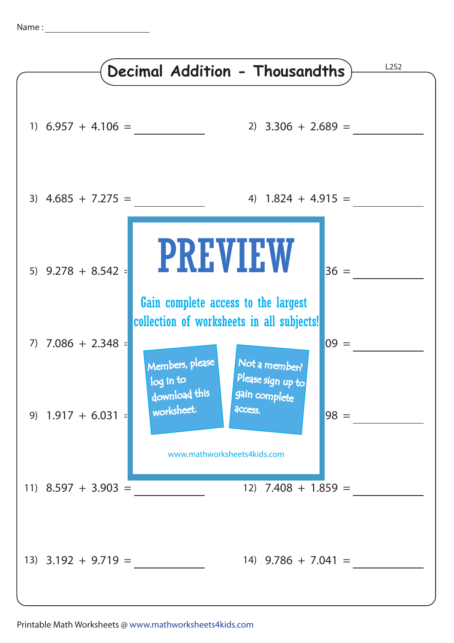